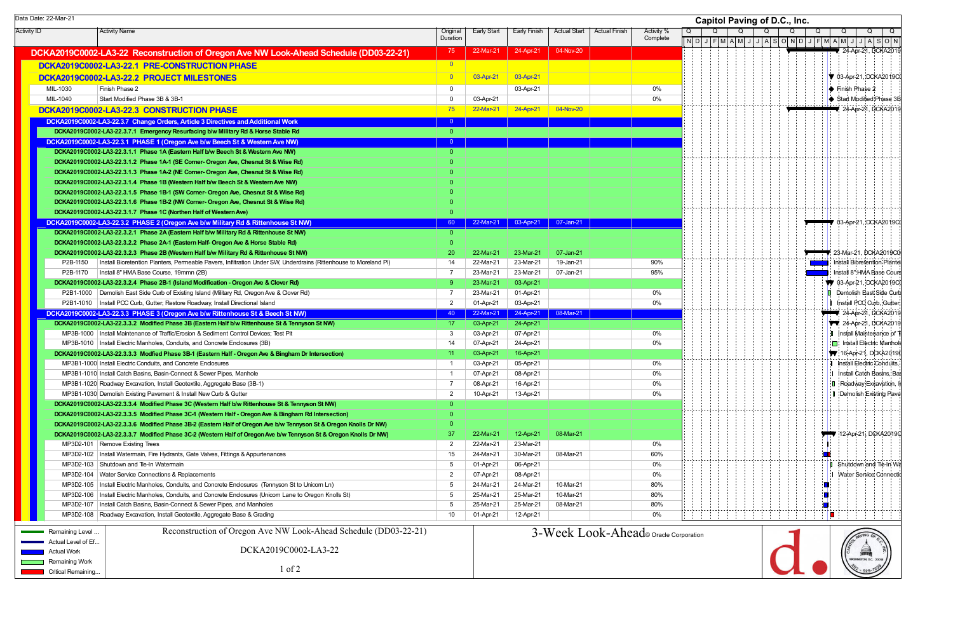|              |         |   |   |     |  |                  |   |   |              | <b>Capitol Paving of D.C., Inc.</b> |          |   |  |   |   |  |    |         |   |                        |         |  |     |                                           |
|--------------|---------|---|---|-----|--|------------------|---|---|--------------|-------------------------------------|----------|---|--|---|---|--|----|---------|---|------------------------|---------|--|-----|-------------------------------------------|
| Q            |         |   | Q |     |  | Q                |   |   | Q            |                                     |          | Q |  |   | Q |  |    | Q       |   |                        | Q       |  |     | Q                                         |
| $\mathsf{N}$ | D       | J |   | F M |  | $A \overline{M}$ | J | J | $\mathsf{A}$ |                                     | S[O[N]D] |   |  | J |   |  |    | F M A M | J | J                      | A       |  | s o | $\overline{N}$                            |
|              |         |   |   |     |  |                  |   |   |              |                                     |          |   |  |   |   |  |    |         |   | 24-Apr-21, DCKA2019    |         |  |     |                                           |
|              |         |   |   |     |  |                  |   |   |              |                                     |          |   |  |   |   |  |    |         |   |                        |         |  |     |                                           |
|              |         |   |   |     |  |                  |   |   |              |                                     |          |   |  |   |   |  |    |         |   |                        |         |  |     | 03-Apr-21, DCKA2019CI                     |
|              |         |   |   |     |  |                  |   |   |              |                                     |          |   |  |   |   |  |    |         |   | Finish Phase 2         |         |  |     |                                           |
|              |         |   |   |     |  |                  |   |   |              |                                     |          |   |  |   |   |  |    |         |   |                        |         |  |     | Start Modified Phase 3B                   |
|              |         |   |   |     |  |                  |   |   |              |                                     |          |   |  |   |   |  |    |         |   |                        |         |  |     | 24-Apr-21, DCKA2019                       |
|              |         |   |   |     |  |                  |   |   |              |                                     |          |   |  |   |   |  |    |         |   |                        |         |  |     |                                           |
|              |         |   |   |     |  |                  |   |   |              |                                     |          |   |  |   |   |  |    |         |   |                        |         |  |     |                                           |
|              |         |   |   |     |  |                  |   |   |              |                                     |          |   |  |   |   |  |    |         |   |                        |         |  |     |                                           |
|              |         |   |   |     |  |                  |   |   |              |                                     |          |   |  |   |   |  |    |         |   |                        |         |  |     |                                           |
|              |         |   |   |     |  |                  |   |   |              |                                     |          |   |  |   |   |  |    |         |   |                        |         |  |     |                                           |
|              |         |   |   |     |  |                  |   |   |              |                                     |          |   |  |   |   |  |    |         |   |                        |         |  |     |                                           |
|              |         |   |   |     |  |                  |   |   |              |                                     |          |   |  |   |   |  |    |         |   |                        |         |  |     |                                           |
|              |         |   |   |     |  |                  |   |   |              |                                     |          |   |  |   |   |  |    |         |   |                        |         |  |     |                                           |
|              |         |   |   |     |  |                  |   |   |              |                                     |          |   |  |   |   |  |    |         |   |                        |         |  |     |                                           |
|              |         |   |   |     |  |                  |   |   |              |                                     |          |   |  |   |   |  |    |         |   |                        |         |  |     |                                           |
|              |         |   |   |     |  |                  |   |   |              |                                     |          |   |  |   |   |  |    |         |   |                        |         |  |     | 03-Apr-21, DCKA2019CI                     |
|              |         |   |   |     |  |                  |   |   |              |                                     |          |   |  |   |   |  |    |         |   |                        |         |  |     |                                           |
|              |         |   |   |     |  |                  |   |   |              |                                     |          |   |  |   |   |  |    |         |   |                        |         |  |     | 23-Mar-21, DCKA2019C0                     |
|              |         |   |   |     |  |                  |   |   |              |                                     |          |   |  |   |   |  |    |         |   |                        |         |  |     | Install Bioretention Planter              |
|              |         |   |   |     |  |                  |   |   |              |                                     |          |   |  |   |   |  |    |         |   |                        |         |  |     | Install 8" HMA Base Cours                 |
|              |         |   |   |     |  |                  |   |   |              |                                     |          |   |  |   |   |  |    |         |   |                        |         |  |     | ♥ 03-Apr-21, DCKA2019C0                   |
|              |         |   |   |     |  |                  |   |   |              |                                     |          |   |  |   |   |  |    |         |   |                        |         |  |     | Demolish East Side Curb                   |
|              |         |   |   |     |  |                  |   |   |              |                                     |          |   |  |   |   |  | 1  |         |   |                        |         |  |     | Install PCC Curb, Gutter,                 |
|              |         |   |   |     |  |                  |   |   |              |                                     |          |   |  |   |   |  |    |         |   |                        |         |  |     | <b>▼ 24-Apr-21, DCKA2019</b>              |
|              |         |   |   |     |  |                  |   |   |              |                                     |          |   |  |   |   |  |    |         |   |                        |         |  |     | 24-Apr-21, DCKA2019                       |
|              |         |   |   |     |  |                  |   |   |              |                                     |          |   |  |   |   |  | Đ. |         |   |                        |         |  |     | Install Maintenance of T                  |
|              |         |   |   |     |  |                  |   |   |              |                                     |          |   |  |   |   |  |    |         |   |                        |         |  |     | Install Electric Manhold                  |
|              |         |   |   |     |  |                  |   |   |              |                                     |          |   |  |   |   |  |    |         |   |                        |         |  |     | $\blacktriangledown$ 16-Apr-21, DCKA20190 |
|              |         |   |   |     |  |                  |   |   |              |                                     |          |   |  |   |   |  | Ч  |         |   |                        |         |  |     | Install Electric Conduits,                |
|              |         |   |   |     |  |                  |   |   |              |                                     |          |   |  |   |   |  | :1 |         |   |                        |         |  |     | Install Catch Basins, Bas                 |
|              |         |   |   |     |  |                  |   |   |              |                                     |          |   |  |   |   |  | П  |         |   |                        |         |  |     | Roadway Excavation, In                    |
|              |         |   |   |     |  |                  |   |   |              |                                     |          |   |  |   |   |  |    |         |   |                        |         |  |     | Demolish Existing Pave                    |
|              |         |   |   |     |  |                  |   |   |              |                                     |          |   |  |   |   |  |    |         |   |                        |         |  |     |                                           |
|              |         |   |   |     |  |                  |   |   |              |                                     |          |   |  |   |   |  |    |         |   |                        |         |  |     |                                           |
|              |         |   |   |     |  |                  |   |   |              |                                     |          |   |  |   |   |  |    |         |   |                        |         |  |     | 12-Apr-21, DCKA2019C                      |
|              |         |   |   |     |  |                  |   |   |              |                                     |          |   |  |   |   |  |    |         |   |                        |         |  |     |                                           |
|              |         |   |   |     |  |                  |   |   |              |                                     |          |   |  |   |   |  |    |         |   |                        |         |  |     |                                           |
|              |         |   |   |     |  |                  |   |   |              |                                     |          |   |  |   |   |  | U  |         |   |                        |         |  |     | Shutdown and Tie-In Wa                    |
|              |         |   |   |     |  |                  |   |   |              |                                     |          |   |  |   |   |  | I  |         |   |                        |         |  |     | Water Service Connectio                   |
|              |         |   |   |     |  |                  |   |   |              |                                     |          |   |  |   |   |  |    |         |   |                        |         |  |     |                                           |
|              |         |   |   |     |  |                  |   |   |              |                                     |          |   |  |   |   |  |    |         |   |                        |         |  |     |                                           |
|              |         |   |   |     |  |                  |   |   |              |                                     |          |   |  |   |   |  |    |         |   |                        |         |  |     |                                           |
|              |         |   |   |     |  |                  |   |   |              |                                     |          |   |  |   |   |  |    |         |   |                        |         |  |     |                                           |
|              |         |   |   |     |  |                  |   |   |              |                                     |          |   |  |   |   |  |    |         |   | RED PAVING OF          |         |  |     |                                           |
|              | oration |   |   |     |  |                  |   |   |              |                                     |          |   |  |   |   |  |    |         |   |                        |         |  |     |                                           |
|              |         |   |   |     |  |                  |   |   |              |                                     |          |   |  |   |   |  |    |         |   |                        | TITTING |  |     |                                           |
|              |         |   |   |     |  |                  |   |   |              |                                     |          |   |  |   |   |  |    |         |   | WASHINGTON, D.C. 20018 |         |  |     |                                           |
|              |         |   |   |     |  |                  |   |   |              |                                     |          |   |  |   |   |  |    |         |   |                        | 529     |  |     |                                           |
|              |         |   |   |     |  |                  |   |   |              |                                     |          |   |  |   |   |  |    |         |   |                        |         |  |     |                                           |

Activity ID Activity Name Original Duration Early Start | Early Finish | Actual Start | Actual Finish | Activity % **Complete DCKA2019C00 DCKA2019C0002-LA3-22 Reconstruction of Oregon 0 Ave NW Look-Ahead Schedule (DD03-22-21)** <sup>75</sup> 22-Mar-21 24-Apr-21 04-Nov-20 **DCKA2019C0 DCKA2019C0002-LA3-22.1 PRE-CONSTRUCTION PHASE 0** <sup>0</sup> **DCKA2019C0 DCKA2019C0002-LA3-22.2 PROJECT MILESTONES 0** <sup>0</sup> 03-Apr-21 03-Apr-21 MIL-1030 Finish Phase 2 0 03-Apr-21 0% MIL-1040 Start Modified Phase 3B & 3B-1 0 03-Apr-21 0% **DCKA2019C0 DCKA2019C0002-LA3-22.3 CONST 0 RUCTION PHASE** <sup>75</sup> 22-Mar-21 24-Apr-21 04-Nov-20 **DCKA2019C0002-LA3-22.3.7 Change Orders, Article 3 Directives and Additional Work**  $2000$  **and**  $2000$  **and**  $2000$  **and**  $2000$  **and**  $2000$  **and**  $2000$  **and**  $2000$  **and**  $2000$  **and**  $2000$  **and**  $2000$  **and**  $2000$  **and**  $2000$  **and**  $2000$  **a DCKA2019C0002-LA3-22.3.7.1 Emergency Resurfacing b/w Military Rd & Horse Stable Rd 0** 0 **DCKA2019C000 DCKA2019C0002-LA3-22.3.1 PHASE 1 (Ore 2 gon Ave b/w Beech St & Western Ave NW)** <sup>0</sup> **DCKA2019C0002-LA3-22.3.1.1 Phase 1A (Eastern Half b/w Beech St & Western Ave NW)** DCKA2019C0002-LA3-22.3.1.2 Phase 1A-1 (SE Corner- Oregon Ave, Chesnut St & Wise Rd) DCKA2019C0002-LA3-22.3.1.3 Phase 1A-2 (NE Corner- Oregon Ave, Chesnut St & Wise Rd) DCKA2019C0002-LA3-22.3.1.4 Phase 1B (Western Half b/w Beech St & Western Ave NW) **DCKA2019C0002-LA3-22.3.1.5 Phase 1B-1 (SW Corner- Oregon Ave, Chesnut St & Wise Rd) 0** 0 **DCKA2019C0002-LA3-22.3.1.6 Phase 1B-2 (NW Corner- Oregon Ave, Chesnut St & Wise Rd) 0** 0 **DCKA2019C0002-LA3-22.3.1.7 Phase 1C (Northen Half of Western Ave) 0** 0 **DCKA2019C000 DCKA2019C0002-LA3-22.3.2 PHASE 2 (Ore 2 gon Ave b/w Military Rd & Rittenhouse St NW)** <sup>60</sup> 22-Mar-21 03-Apr-21 07-Jan-21 **DCKA2019C0002-LA3-22.3.2.1 Phase 2A (Eastern Half b/w Military Rd & Rittenhouse St NW) 0** 0 **DCKA2019C0002-LA3-22.3.2.2 Phase 2A-1 (Eastern Half- Ore 0 gon Ave & Horse Stable Rd)** 0 **DCKA2019C0002-LA3-22.3.2.3 Phase 2B (Western Half b/w Military Rd & Rittenhouse St NW) 00 20 20 22-Mar-21 07-Jan-21 07-Jan-21 07-Jan-21** P2B-1150 Install Bioretention Planters, Permeable Pavers, Infiltration Under SW, Underdrains (Rittenhouse to Moreland Pl) 14 22-Mar-21 23-Mar-21 19-Jan-21 90% P2B-1170 Install 8" HMA Base Course, 19mmn (2B) 7 23-Mar-21 23-Mar-21 07-Jan-21 95% **DCKA2019C0002-LA3-22.3.2.4 Phase 2B-1 (Island Modification - Oregon Ave & Clover Rd)** 9 23-Mar-21 03-Apr-21 03-Apr-21 P2B1-1000 | Demolish East Side Curb of Existing Island (Military Rd, Oregon Ave & Clover Rd) 7 23-Mar-21 01-Apr-21 0% P2B1-1010 | Install PCC Curb, Gutter; Restore Roadway, Install Directional Island 2 0% 2 01-Apr-21 | 03-Apr-21 | 03-Apr-21 | 2 | 03-Apr-21 | 2 | 03-Apr-21 | 2 | 03-Apr-21 | 2 | 03-Apr-21 | 2 | 03-Apr-21 | 2 | 03-Apr-21 | 2 **DCKA2019C0002-LA3-22.3.3 PHASE 3 (Oregon Ave b/w Rittenhouse St & Beech St NW) 24-Apr-21 08-Mar-21 DCKA2019C0002-LA3-22.3.3.2 Modified Phase 3B (Eastern Half b/w Rittenhouse St & Tennyson St NW)** 17 03-Apr-21 24-Apr-21 MP3B-1000 | Install Maintenance of Traffic/Erosion & Sediment Control Devices; Test Pit 3 03-Apr-21 | 07-Apr-21 | 07-Apr-21 | 07-Apr-21 | 09% | 09% | 09% | 09% | 09% | 09% | 09% | 09% | 09% | 09% | 09% | 09% | 09% | 09% | MP3B-1010 | Install Electric Manholes, Conduits, and Concrete Enclosures (3B) 14 07-Apr-21 24-Apr-21 0% **DCKA2019C0002-LA3-22.3.3.3 Modfied Phase 3B-1 (Eastern Half - Oregon Ave & Bingham Dr Intersection)** 11 1 1 03-Apr-21 16-Apr-21 16-Apr-21 MP3B1-1000 Install Electric Conduits, and Concrete Enclosures 1 0% 1 03-Apr-21 05-Apr-21 05-Apr-21 05-Apr-21 05-Apr-21 05-Apr-21 05-Apr-21 05-Apr-21 05-Apr-21 05-Apr-21 05-Apr-21 05-Apr-21 05-Apr-21 05-Apr-21 05-Apr-21 05-MP3B1-1010 Install Catch Basins, Basin-Connect & Sewer Pipes, Manhole 1 07-Apr-21 08-Apr-21 0% MP3B1-1020 Roadway Excavation, Install Geotextile, Aggregate Base (3B-1) 7 08-Apr-21 16-Apr-21 0% MP3B1-1030 Demolish Existing Pavement & Install New Curb & Gutter 2 10-Apr-21 10-Apr-21 10-Apr-21 13-Apr-21 13-Apr-21 10-Apr-21 10-Apr-21 10-Apr-21 10-Apr-21 10-Apr-21 10-Apr-21 10-Apr-21 10-Apr-21 10-Apr-21 10:40th and th **DCKA2019C0002-LA3-22.3.3.4 Modified Phase 3C (Western Half b/w Ritte 0 nhouse St & Tennyson St NW)** 0 **DCKA2019C0002-LA3-22.3.3.5 Modified Phase 3C-1 (Western Half - Ore 0 gon Ave & Bingham Rd Intersection)** 0 **DCKA2019C0002-LA3-22.3.3.6 Modified Phase 3B-2 (Eastern Half of Ore 0 gon Ave b/w Tennyson St & Oregon Knolls Dr NW)** 0 **DCKA2019C0002-LA3-22.3.3.7 Modified Phase 3C-2 (Western Half of Oregon Ave b/w Tennyson St & Oregon Knolls Dr NW) 37 22-Mar-21 12-Apr-21 08-Mar-21** MP3D2-101 Remove Existing Trees 2 22-Mar-21 23-Mar-21 0% MP3D2-102 | Install Watermain, Fire Hydrants, Gate Valves, Fittings & Appurtenances 15 15 24-Mar-21 | 30-Mar-21 | 08-Mar-21 | 08-Mar-21 | 15 | 24-Mar-21 | 08-Mar-21 | 18-Mar-21 | 18-Mar-21 | 18-Mar-21 | 18-Mar-21 | 18-Mar-MP3D2-103 Shutdown and Tie-In Watermain 5 01-Apr-21 06-Apr-21 0% MP3D2-104 | Water Service Connections & Replacements 2 07-Apr-21 8-Apr-21 0% MP3D2-105 Install Electric Manholes, Conduits, and Concrete Enclosures (Tennyson St to Unicorn Ln) 5 24-Mar-21 24-Mar-21 10-Mar-21 80% MP3D2-106 Install Electric Manholes, Conduits, and Concrete Enclosures (Unicorn Lane to Oregon Knolls St) 5 25-Mar-21 25-Mar-21 10-Mar-21 80% MP3D2-107 | Install Catch Basins, Basin-Connect & Sewer Pipes, and Manholes 60% Particle and Manholes and Manholes and Manholes and Manholes and Manholes and Manholes and Manholes and Manholes and Manholes and Manholes and MP3D2-108 Roadway Excavation, Install Geotextile, Aggregate Base & Grading 10 1 10 1 - 10 01-Apr-21 12-Apr-21 12-Apr-21 12-Apr-21 12-Apr-21 12-Apr-21 12-Apr-21 12-Apr-21 12-Apr-21 12-Apr-21 12-Apr-21 12-Apr-21 12-Apr-21 12 O $N$  D  $\Omega$ Data Date: 22-Mar-21 **Capitol Paving of D.C., Inc.** Remaining Level Actual Level of Ef... Actual Work**Remaining Work** Reconstruction of Oregon Ave NW Look-Ahead Schedule (DD03-22-21) DCKA2019C0002-LA3-221 of 2 $3-Week$  Look-Ahead© Oracle Corporation

Critical Remaining...